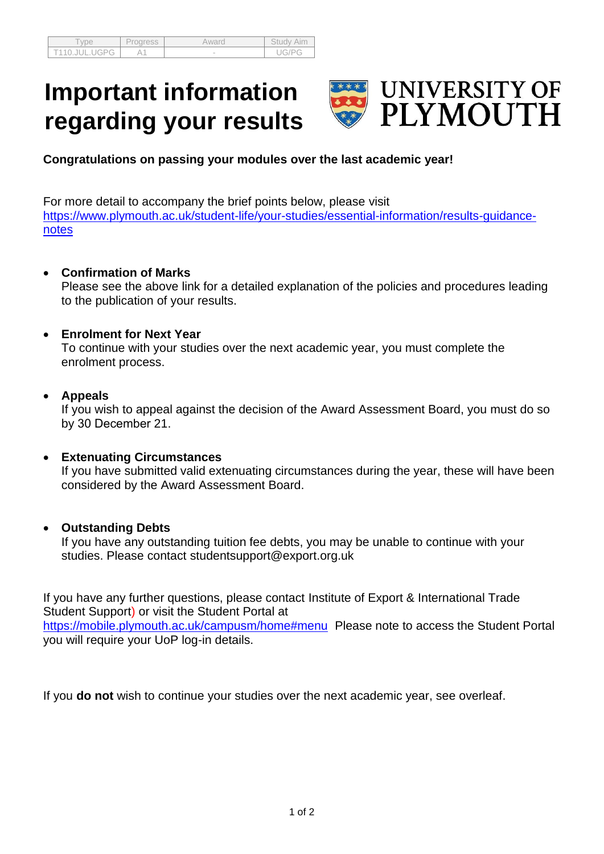| /pe                                 | Progress | Awaro  | Study<br>Aim |
|-------------------------------------|----------|--------|--------------|
| T110.JU∟<br>.UGPG<br>$- \cdot \cup$ |          | $\sim$ |              |

# **Important information regarding your results**



**Congratulations on passing your modules over the last academic year!**

For more detail to accompany the brief points below, please visit [https://www.plymouth.ac.uk/student-life/your-studies/essential-information/results-guidance](https://www.plymouth.ac.uk/student-life/your-studies/essential-information/results-guidance-notes)[notes](https://www.plymouth.ac.uk/student-life/your-studies/essential-information/results-guidance-notes)

## • **Confirmation of Marks**

Please see the above link for a detailed explanation of the policies and procedures leading to the publication of your results.

## • **Enrolment for Next Year**

To continue with your studies over the next academic year, you must complete the enrolment process.

## • **Appeals**

If you wish to appeal against the decision of the Award Assessment Board, you must do so by 30 December 21.

## • **Extenuating Circumstances**

If you have submitted valid extenuating circumstances during the year, these will have been considered by the Award Assessment Board.

## • **Outstanding Debts**

If you have any outstanding tuition fee debts, you may be unable to continue with your studies. Please contact studentsupport@export.org.uk

If you have any further questions, please contact Institute of Export & International Trade Student Support) or visit the Student Portal at <https://mobile.plymouth.ac.uk/campusm/home#menu>Please note to access the Student Portal you will require your UoP log-in details.

If you **do not** wish to continue your studies over the next academic year, see overleaf.